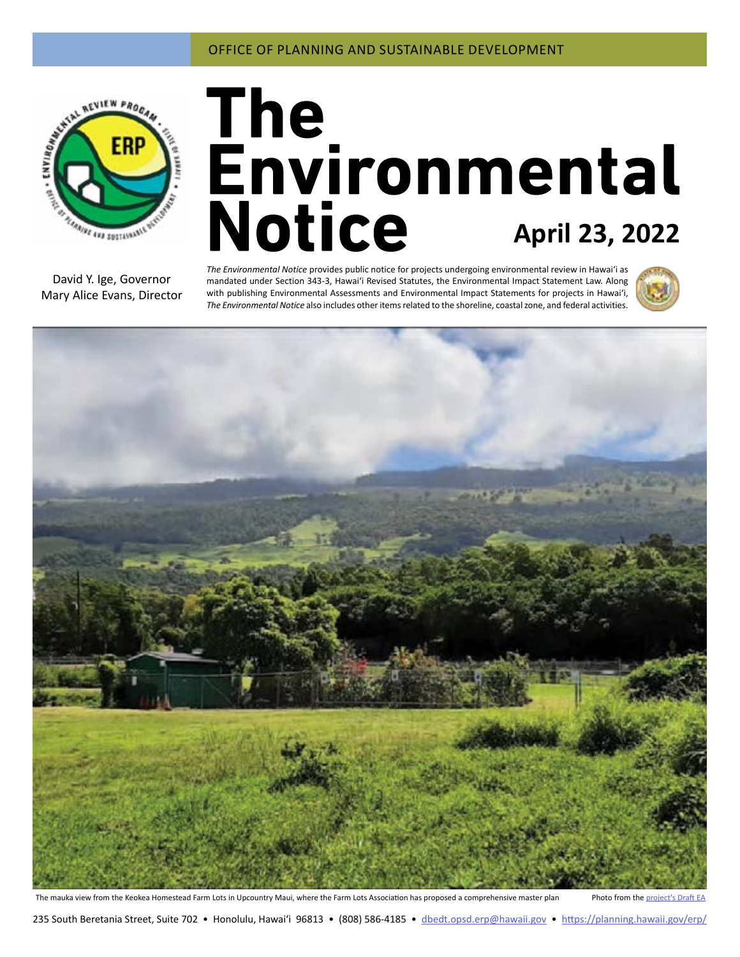

# **April 23, 2022**

David Y. Ige, Governor Mary Alice Evans, Director

*The Environmental Notice* provides public notice for projects undergoing environmental review in Hawaiʻi as mandated under Section 343-3, Hawaiʻi Revised Statutes, the Environmental Impact Statement Law. Along with publishing Environmental Assessments and Environmental Impact Statements for projects in Hawai'i, *The Environmental Notice* also includes other items related to the shoreline, coastal zone, and federal activities.





The mauka view from the Keokea Homestead Farm Lots in Upcountry Maui, where the Farm Lots Association has proposed a comprehensive master plan Photo from the [project's Draft EA](#page-2-0)

235 South Beretania Street, Suite 702 • Honolulu, Hawai'i 96813 • (808) 586-4185 • dbedt.opsd.erp[@hawaii.gov](mailto:dbedt.opsd.erp%40hawaii.gov?subject=) • <https://planning.hawaii.gov/erp/>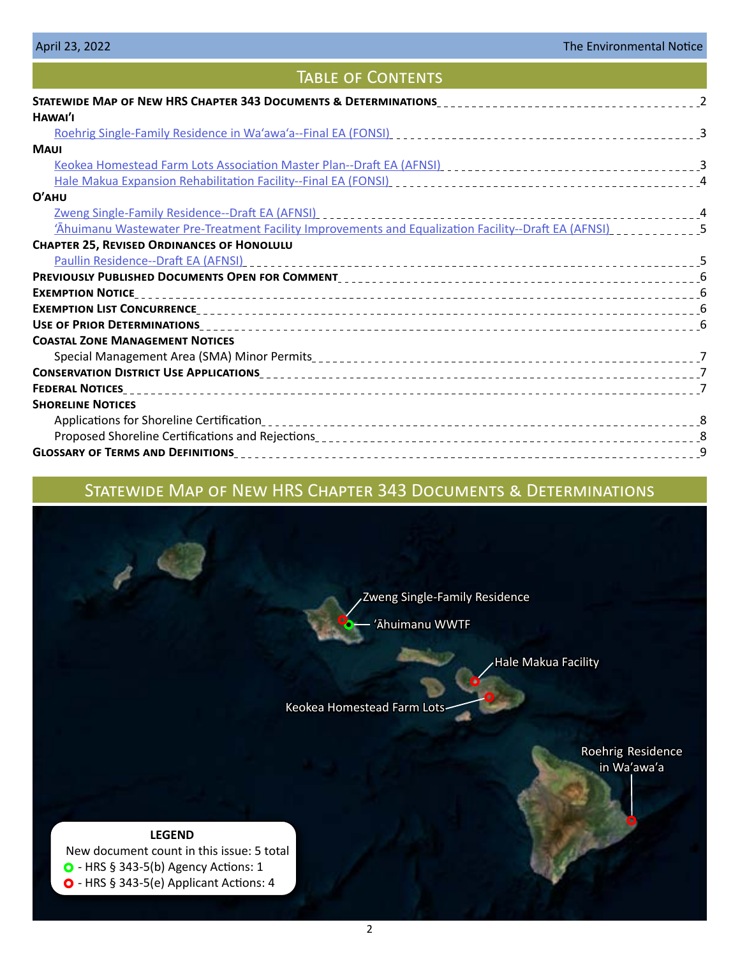# TABLE OF CONTENTS

| HAWAI'I                                                                                              |  |
|------------------------------------------------------------------------------------------------------|--|
|                                                                                                      |  |
| <b>MAUI</b>                                                                                          |  |
|                                                                                                      |  |
|                                                                                                      |  |
| $O'$ AHU                                                                                             |  |
|                                                                                                      |  |
| 'Ahuimanu Wastewater Pre-Treatment Facility Improvements and Equalization Facility--Draft EA (AFNSI) |  |
| <b>CHAPTER 25, REVISED ORDINANCES OF HONOLULU</b>                                                    |  |
|                                                                                                      |  |
|                                                                                                      |  |
|                                                                                                      |  |
|                                                                                                      |  |
|                                                                                                      |  |
| <b>COASTAL ZONE MANAGEMENT NOTICES</b>                                                               |  |
|                                                                                                      |  |
|                                                                                                      |  |
|                                                                                                      |  |
| <b>SHORELINE NOTICES</b>                                                                             |  |
|                                                                                                      |  |
|                                                                                                      |  |
|                                                                                                      |  |
|                                                                                                      |  |

# Statewide Map of New HRS Chapter 343 Documents & Determinations



[Hale Makua Facility](#page-3-0)

[Keokea Homestead Farm Lots](#page-2-0)

[Roehrig Residence](#page-2-0)  [in Waʹawaʹa](#page-2-0)

**LEGEND** New document count in this issue: 5 total  $\bullet$  - HRS § 343-5(b) Agency Actions: 1 O - HRS § 343-5(e) Applicant Actions: 4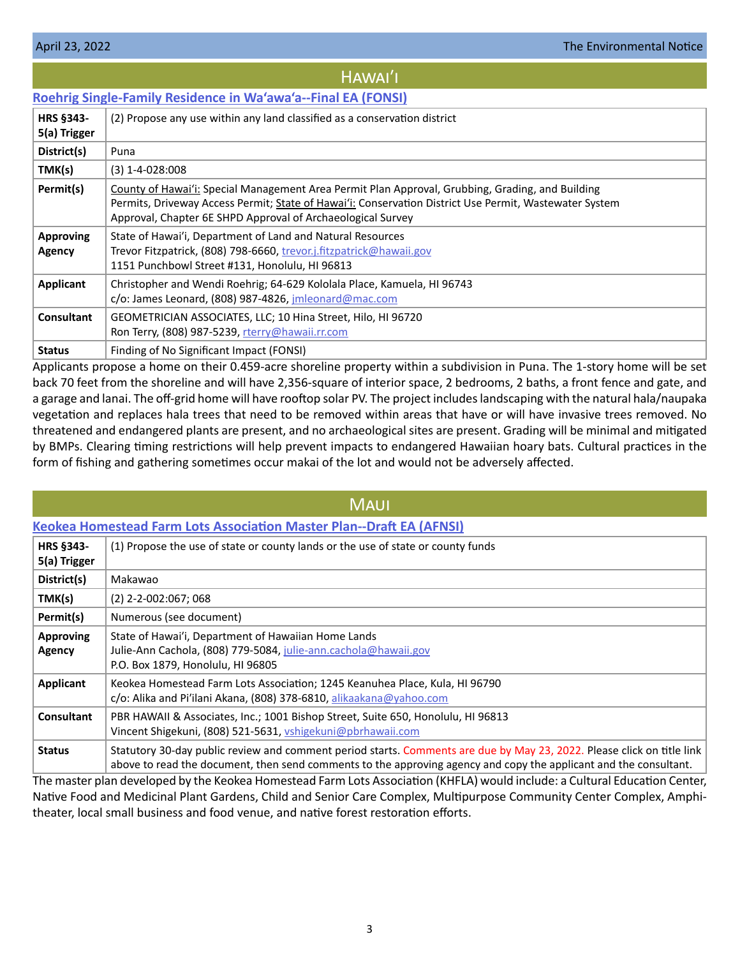# HAWAI'I

# <span id="page-2-0"></span>**[Roehrig Single-Family Residence in Wa'awa'a--Final EA \(FONSI\)](https://files.hawaii.gov/dbedt/erp/Doc_Library/2022-04-23-HA-FEA-Roehrig-SFR-in-Waawaa.pdf)**

| HRS §343-<br>5(a) Trigger         | (2) Propose any use within any land classified as a conservation district                                                                                                                                                                                                 |
|-----------------------------------|---------------------------------------------------------------------------------------------------------------------------------------------------------------------------------------------------------------------------------------------------------------------------|
| District(s)                       | Puna                                                                                                                                                                                                                                                                      |
| TMK(s)                            | $(3)$ 1-4-028:008                                                                                                                                                                                                                                                         |
| Permit(s)                         | County of Hawai'i: Special Management Area Permit Plan Approval, Grubbing, Grading, and Building<br>Permits, Driveway Access Permit; State of Hawai'i: Conservation District Use Permit, Wastewater System<br>Approval, Chapter 6E SHPD Approval of Archaeological Survey |
| <b>Approving</b><br><b>Agency</b> | State of Hawai'i, Department of Land and Natural Resources<br>Trevor Fitzpatrick, (808) 798-6660, trevor.j.fitzpatrick@hawaii.gov<br>1151 Punchbowl Street #131, Honolulu, HI 96813                                                                                       |
| Applicant                         | Christopher and Wendi Roehrig; 64-629 Kololala Place, Kamuela, HI 96743<br>$c$ /o: James Leonard, (808) 987-4826, imleonard@mac.com                                                                                                                                       |
| <b>Consultant</b>                 | GEOMETRICIAN ASSOCIATES, LLC; 10 Hina Street, Hilo, HI 96720<br>Ron Terry, (808) 987-5239, rterry@hawaii.rr.com                                                                                                                                                           |
| <b>Status</b>                     | Finding of No Significant Impact (FONSI)                                                                                                                                                                                                                                  |

Applicants propose a home on their 0.459-acre shoreline property within a subdivision in Puna. The 1-story home will be set back 70 feet from the shoreline and will have 2,356-square of interior space, 2 bedrooms, 2 baths, a front fence and gate, and a garage and lanai. The off-grid home will have rooftop solar PV. The project includes landscaping with the natural hala/naupaka vegetation and replaces hala trees that need to be removed within areas that have or will have invasive trees removed. No threatened and endangered plants are present, and no archaeological sites are present. Grading will be minimal and mitigated by BMPs. Clearing timing restrictions will help prevent impacts to endangered Hawaiian hoary bats. Cultural practices in the form of fishing and gathering sometimes occur makai of the lot and would not be adversely affected.

## **[Keokea Homestead Farm Lots Association Master Plan--Draft EA \(AFNSI\)](https://files.hawaii.gov/dbedt/erp/Doc_Library/2022-04-23-MA-DEA-Keokea-Homestead-Farm-Lots-Association-Master-Plan.pdf) HRS §343- 5(a) Trigger** (1) Propose the use of state or county lands or the use of state or county funds **District(s)** Makawao **TMK(s)**  $(2)$  2-2-002:067; 068 **Permit(s)** Numerous (see document) **Approving Agency** State of Hawai'i, Department of Hawaiian Home Lands Julie-Ann Cachola, (808) 779-5084, [julie-ann.cachola@hawaii.gov](mailto:julie-ann.cachola%40hawaii.gov?subject=) P.O. Box 1879, Honolulu, HI 96805 **Applicant** Keokea Homestead Farm Lots Association; 1245 Keanuhea Place, Kula, HI 96790 c/o: Alika and Pi'ilani Akana, (808) 378-6810, [alikaakana@yahoo.com](mailto:alikaakana%40yahoo.com?subject=) **Consultant** PBR HAWAII & Associates, Inc.; 1001 Bishop Street, Suite 650, Honolulu, HI 96813 Vincent Shigekuni, (808) 521-5631, [vshigekuni@pbrhawaii.com](mailto:vshigekuni%40pbrhawaii.com?subject=) **Status** Statutory 30-day public review and comment period starts. Comments are due by May 23, 2022. Please click on title link above to read the document, then send comments to the approving agency and copy the applicant and the consultant. **MAUI**

The master plan developed by the Keokea Homestead Farm Lots Association (KHFLA) would include: a Cultural Education Center, Native Food and Medicinal Plant Gardens, Child and Senior Care Complex, Multipurpose Community Center Complex, Amphitheater, local small business and food venue, and native forest restoration efforts.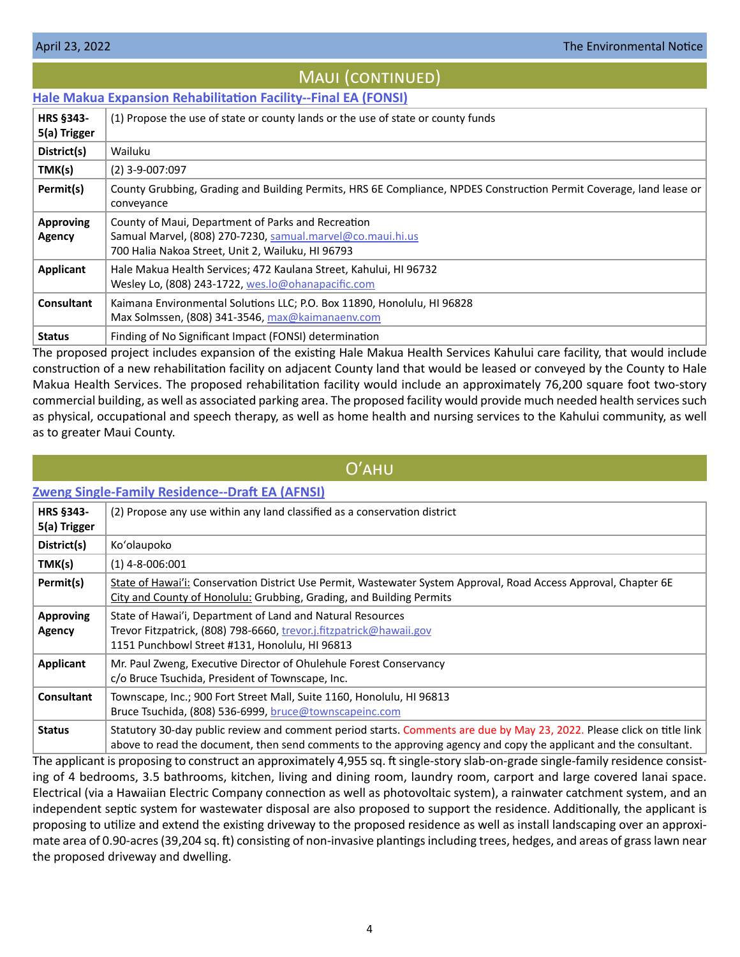# Maui (continued)

# <span id="page-3-0"></span>**[Hale Makua Expansion Rehabilitation Facility--Final EA \(FONSI\)](https://files.hawaii.gov/dbedt/erp/Doc_Library/2022-04-23-MA-FEA-Hale-Makua-Expansion-Rehabilitation-Facility.pdf)**

| <b>HRS §343-</b><br>5(a) Trigger | (1) Propose the use of state or county lands or the use of state or county funds                                                                                      |
|----------------------------------|-----------------------------------------------------------------------------------------------------------------------------------------------------------------------|
| District(s)                      | Wailuku                                                                                                                                                               |
| TMK(s)                           | $(2)$ 3-9-007:097                                                                                                                                                     |
| Permit(s)                        | County Grubbing, Grading and Building Permits, HRS 6E Compliance, NPDES Construction Permit Coverage, land lease or<br>conveyance                                     |
| <b>Approving</b><br>Agency       | County of Maui, Department of Parks and Recreation<br>Samual Marvel, (808) 270-7230, samual.marvel@co.maui.hi.us<br>700 Halia Nakoa Street, Unit 2, Wailuku, HI 96793 |
| Applicant                        | Hale Makua Health Services; 472 Kaulana Street, Kahului, HI 96732<br>Wesley Lo, (808) 243-1722, wes.lo@ohanapacific.com                                               |
| Consultant                       | Kaimana Environmental Solutions LLC; P.O. Box 11890, Honolulu, HI 96828<br>Max Solmssen, (808) 341-3546, max@kaimanaenv.com                                           |
| <b>Status</b>                    | Finding of No Significant Impact (FONSI) determination                                                                                                                |

The proposed project includes expansion of the existing Hale Makua Health Services Kahului care facility, that would include construction of a new rehabilitation facility on adjacent County land that would be leased or conveyed by the County to Hale Makua Health Services. The proposed rehabilitation facility would include an approximately 76,200 square foot two-story commercial building, as well as associated parking area. The proposed facility would provide much needed health services such as physical, occupational and speech therapy, as well as home health and nursing services to the Kahului community, as well as to greater Maui County.

# Oʹahu

## **[Zweng Single-Family Residence--Draft EA \(AFNSI\)](https://files.hawaii.gov/dbedt/erp/Doc_Library/2022-04-23-OA-DEA-Zweng-Single-Family-Residence.pdf)**

| <b>HRS §343-</b><br>5(a) Trigger | (2) Propose any use within any land classified as a conservation district                                                                                                                                                                   |
|----------------------------------|---------------------------------------------------------------------------------------------------------------------------------------------------------------------------------------------------------------------------------------------|
| District(s)                      | Ko'olaupoko                                                                                                                                                                                                                                 |
| TMK(s)                           | $(1)$ 4-8-006:001                                                                                                                                                                                                                           |
| Permit(s)                        | State of Hawai'i: Conservation District Use Permit, Wastewater System Approval, Road Access Approval, Chapter 6E<br>City and County of Honolulu: Grubbing, Grading, and Building Permits                                                    |
| <b>Approving</b><br>Agency       | State of Hawai'i, Department of Land and Natural Resources<br>Trevor Fitzpatrick, (808) 798-6660, trevor.j.fitzpatrick@hawaii.gov<br>1151 Punchbowl Street #131, Honolulu, HI 96813                                                         |
| Applicant                        | Mr. Paul Zweng, Executive Director of Ohulehule Forest Conservancy<br>c/o Bruce Tsuchida, President of Townscape, Inc.                                                                                                                      |
| <b>Consultant</b>                | Townscape, Inc.; 900 Fort Street Mall, Suite 1160, Honolulu, HI 96813<br>Bruce Tsuchida, (808) 536-6999, bruce@townscapeinc.com                                                                                                             |
| <b>Status</b>                    | Statutory 30-day public review and comment period starts. Comments are due by May 23, 2022. Please click on title link<br>above to read the document, then send comments to the approving agency and copy the applicant and the consultant. |

The applicant is proposing to construct an approximately 4,955 sq. ft single-story slab-on-grade single-family residence consisting of 4 bedrooms, 3.5 bathrooms, kitchen, living and dining room, laundry room, carport and large covered lanai space. Electrical (via a Hawaiian Electric Company connection as well as photovoltaic system), a rainwater catchment system, and an independent septic system for wastewater disposal are also proposed to support the residence. Additionally, the applicant is proposing to utilize and extend the existing driveway to the proposed residence as well as install landscaping over an approximate area of 0.90-acres (39,204 sq. ft) consisting of non-invasive plantings including trees, hedges, and areas of grass lawn near the proposed driveway and dwelling.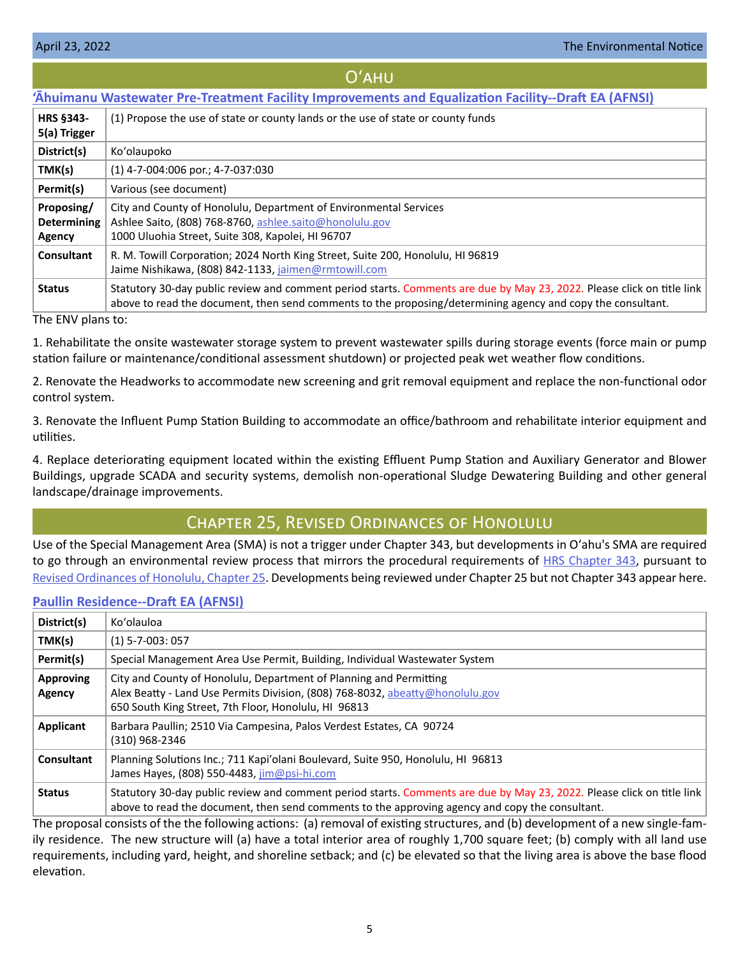## Oʻahu

# <span id="page-4-0"></span>**['Āhuimanu Wastewater Pre-Treatment Facility Improvements and Equalization Facility--Draft EA \(AFNSI\)](https://files.hawaii.gov/dbedt/erp/Doc_Library/2022-04-23-OA-DEA-Ahuimanu-Wastewater-Facility-Improvements-and-Equalization-Facility.pdf)**

| <b>HRS §343-</b><br>5(a) Trigger           | (1) Propose the use of state or county lands or the use of state or county funds                                                                                                                                                      |
|--------------------------------------------|---------------------------------------------------------------------------------------------------------------------------------------------------------------------------------------------------------------------------------------|
| District(s)                                | Ko'olaupoko                                                                                                                                                                                                                           |
| TMK(s)                                     | $(1)$ 4-7-004:006 por.; 4-7-037:030                                                                                                                                                                                                   |
| Permit(s)                                  | Various (see document)                                                                                                                                                                                                                |
| Proposing/<br><b>Determining</b><br>Agency | City and County of Honolulu, Department of Environmental Services<br>Ashlee Saito, (808) 768-8760, ashlee.saito@honolulu.gov<br>1000 Uluohia Street, Suite 308, Kapolei, HI 96707                                                     |
| Consultant                                 | R. M. Towill Corporation; 2024 North King Street, Suite 200, Honolulu, HI 96819<br>Jaime Nishikawa, (808) 842-1133, jaimen@rmtowill.com                                                                                               |
| <b>Status</b>                              | Statutory 30-day public review and comment period starts. Comments are due by May 23, 2022. Please click on title link<br>above to read the document, then send comments to the proposing/determining agency and copy the consultant. |

The ENV plans to:

1. Rehabilitate the onsite wastewater storage system to prevent wastewater spills during storage events (force main or pump station failure or maintenance/conditional assessment shutdown) or projected peak wet weather flow conditions.

2. Renovate the Headworks to accommodate new screening and grit removal equipment and replace the non-functional odor control system.

3. Renovate the Influent Pump Station Building to accommodate an office/bathroom and rehabilitate interior equipment and utilities.

4. Replace deteriorating equipment located within the existing Effluent Pump Station and Auxiliary Generator and Blower Buildings, upgrade SCADA and security systems, demolish non-operational Sludge Dewatering Building and other general landscape/drainage improvements.

# Chapter 25, Revised Ordinances of Honolulu

Use of the Special Management Area (SMA) is not a trigger under Chapter 343, but developments in Oʻahu's SMA are required to go through an environmental review process that mirrors the procedural requirements of [HRS Chapter 343](https://www.capitol.hawaii.gov/hrscurrent/Vol06_Ch0321-0344/HRS0343/HRS_0343-.htm), pursuant to [Revised Ordinances of Honolulu, Chapter 25.](https://www.honolulu.gov/rep/site/ocs/roh/ROH_Chapter_25_article_1_12.pdf) Developments being reviewed under Chapter 25 but not Chapter 343 appear here.

## **[Paullin Residence--Draft EA \(AFNSI\)](https://files.hawaii.gov/dbedt/erp/Other_TEN_Publications/2022-04-23-OA-Chapter-25-DEA-Paullin-Residence.pdf)**

| District(s)                | Ko'olauloa                                                                                                                                                                                                                |
|----------------------------|---------------------------------------------------------------------------------------------------------------------------------------------------------------------------------------------------------------------------|
| TMK(s)                     | $(1)$ 5-7-003: 057                                                                                                                                                                                                        |
| Permit(s)                  | Special Management Area Use Permit, Building, Individual Wastewater System                                                                                                                                                |
| <b>Approving</b><br>Agency | City and County of Honolulu, Department of Planning and Permitting<br>Alex Beatty - Land Use Permits Division, (808) 768-8032, abeatty@honolulu.gov<br>650 South King Street, 7th Floor, Honolulu, HI 96813               |
| Applicant                  | Barbara Paullin; 2510 Via Campesina, Palos Verdest Estates, CA 90724<br>(310) 968-2346                                                                                                                                    |
| Consultant                 | Planning Solutions Inc.; 711 Kapi'olani Boulevard, Suite 950, Honolulu, HI 96813<br>James Hayes, (808) 550-4483, jim@psi-hi.com                                                                                           |
| <b>Status</b>              | Statutory 30-day public review and comment period starts. Comments are due by May 23, 2022. Please click on title link<br>above to read the document, then send comments to the approving agency and copy the consultant. |

The proposal consists of the the following actions: (a) removal of existing structures, and (b) development of a new single-family residence. The new structure will (a) have a total interior area of roughly 1,700 square feet; (b) comply with all land use requirements, including yard, height, and shoreline setback; and (c) be elevated so that the living area is above the base flood elevation.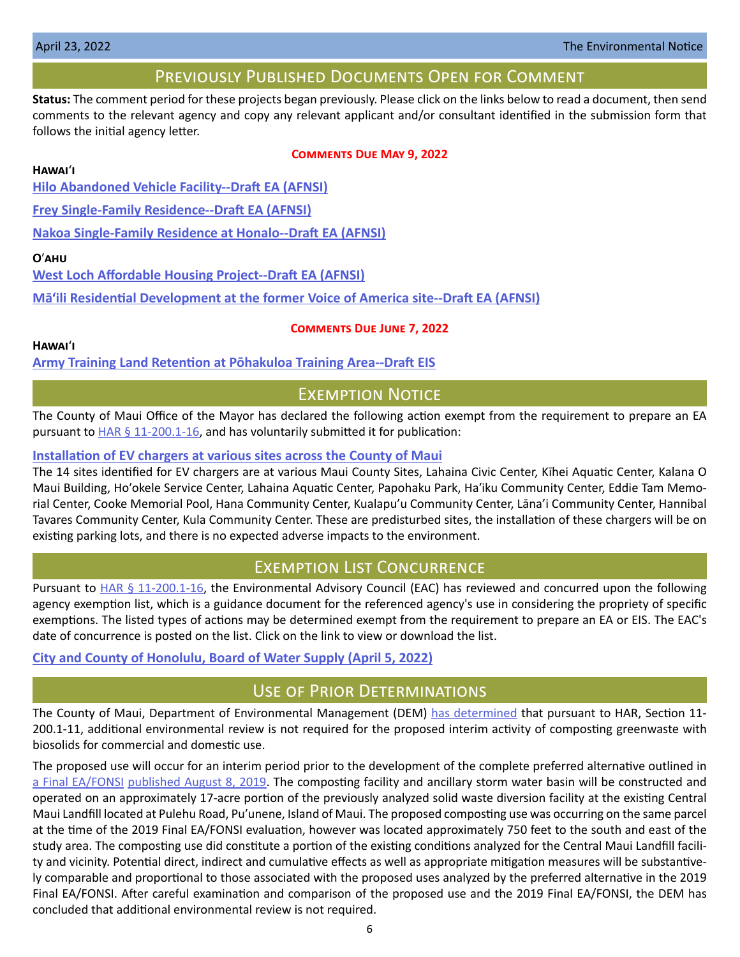# Previously Published Documents Open for Comment

<span id="page-5-0"></span>**Status:** The comment period for these projects began previously. Please click on the links below to read a document, then send comments to the relevant agency and copy any relevant applicant and/or consultant identified in the submission form that follows the initial agency letter.

## **Comments Due May 9, 2022**

## **Hawai**ʻ**i**

**[Hilo Abandoned Vehicle Facility--Draft EA \(AFNSI\)](https://files.hawaii.gov/dbedt/erp/Doc_Library/2022-04-08-HA-DEA-Hilo-Abandoned-Vehicle-Facility.pdf)**

**[Frey Single-Family Residence--Draft EA \(AFNSI\)](https://files.hawaii.gov/dbedt/erp/Doc_Library/2022-04-08-HA-DEA-Frey-Single-Family-Residence.pdf)**

**[Nakoa Single-Family Residence at Honalo--Draft EA \(AFNSI\)](https://files.hawaii.gov/dbedt/erp/Doc_Library/2022-04-08-HA-DEA-Nakoa-Single-Family-Residence-at-Honalo.pdf)**

## **O**ʹ**ahu**

**[West Loch Affordable Housing Project--Draft EA \(AFNSI\)](https://files.hawaii.gov/dbedt/erp/Doc_Library/2022-04-08-OA-DEA-West-Loch-Affordable-Housing.pdf)**

**[Mā'ili Residential Development at the former Voice of America site--Draft EA \(AFNSI\)](https://files.hawaii.gov/dbedt/erp/Doc_Library/2022-04-08-OA-DEA-Maili-Residential-Development-at-Former-Voice-of-America-Site.pdf)**

## **Comments Due June 7, 2022**

**Hawai**ʻ**i**

**[Army Training Land Retention at Pōhakuloa Training Area--Draft EIS](https://files.hawaii.gov/dbedt/erp/Doc_Library/2022-04-08-HA-DEIS-Army-Training-Land-Retention-at-Pohakuloa-Training-Area.pdf)**

# **EXEMPTION NOTICE**

The County of Maui Office of the Mayor has declared the following action exempt from the requirement to prepare an EA pursuant to  $HAR \$ § 11-200.1-16, and has voluntarily submitted it for publication:

## **[Installation of EV chargers at various sites across the County of Maui](https://files.hawaii.gov/dbedt/erp/Other_TEN_Publications/2022-04-23-MA-Exemption-Maui-Mayor)**

The 14 sites identified for EV chargers are at various Maui County Sites, Lahaina Civic Center, Kīhei Aquatic Center, Kalana O Maui Building, Hoʹokele Service Center, Lahaina Aquatic Center, Papohaku Park, Haʹiku Community Center, Eddie Tam Memorial Center, Cooke Memorial Pool, Hana Community Center, Kualapu'u Community Center, Lāna'i Community Center, Hannibal Tavares Community Center, Kula Community Center. These are predisturbed sites, the installation of these chargers will be on existing parking lots, and there is no expected adverse impacts to the environment.

# Exemption List Concurrence

Pursuant to  $HAR \S 11-200.1-16$ , the Environmental Advisory Council (EAC) has reviewed and concurred upon the following agency exemption list, which is a guidance document for the referenced agency's use in considering the propriety of specific exemptions. The listed types of actions may be determined exempt from the requirement to prepare an EA or EIS. The EAC's date of concurrence is posted on the list. Click on the link to view or download the list.

# **[City and County of Honolulu, Board of Water Supply](https://files.hawaii.gov/dbedt/erp/Agency_Exemption_Lists/Honolulu-Board-of-Water-Supply-Exemption-List-2022-04-05.pdf) (April 5, 2022)**

# USE OF PRIOR DETERMINATIONS

The County of Maui, Department of Environmental Management (DEM) [has determined](https://files.hawaii.gov/dbedt/erp/Other_TEN_Publications/2022-04-23-MA-Prior-Determination-Maui-DEM-CML-Composting-Facility.pdf) that pursuant to HAR, Section 11-200.1-11, additional environmental review is not required for the proposed interim activity of composting greenwaste with biosolids for commercial and domestic use.

The proposed use will occur for an interim period prior to the development of the complete preferred alternative outlined in [a Final EA/FONSI](https://files.hawaii.gov/dbedt/erp/EA_EIS_Library/2019-08-08-MA-FEA-Central-Maui-Landfill-Facilities.pdf) [published August 8, 2019](https://files.hawaii.gov/dbedt/erp/The_Environmental_Notice/2019-08-08-TEN.pdf). The composting facility and ancillary storm water basin will be constructed and operated on an approximately 17-acre portion of the previously analyzed solid waste diversion facility at the existing Central Maui Landfill located at Pulehu Road, Puʹunene, Island of Maui. The proposed composting use was occurring on the same parcel at the time of the 2019 Final EA/FONSI evaluation, however was located approximately 750 feet to the south and east of the study area. The composting use did constitute a portion of the existing conditions analyzed for the Central Maui Landfill facility and vicinity. Potential direct, indirect and cumulative effects as well as appropriate mitigation measures will be substantively comparable and proportional to those associated with the proposed uses analyzed by the preferred alternative in the 2019 Final EA/FONSI. After careful examination and comparison of the proposed use and the 2019 Final EA/FONSI, the DEM has concluded that additional environmental review is not required.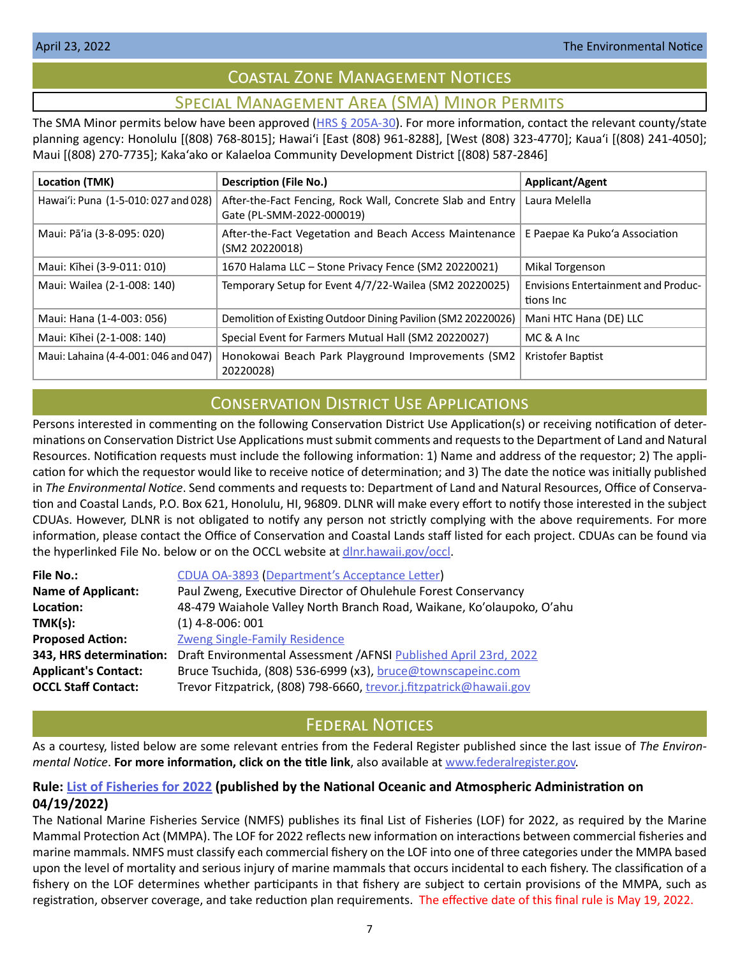# Coastal Zone Management Notices

# Special Management Area (SMA) Minor Permits

<span id="page-6-0"></span>The SMA Minor permits below have been approved ( $HRS \leq 205A-30$ ). For more information, contact the relevant county/state planning agency: Honolulu [(808) 768-8015]; Hawaiʻi [East (808) 961-8288], [West (808) 323-4770]; Kauaʻi [(808) 241-4050]; Maui [(808) 270-7735]; Kakaʻako or Kalaeloa Community Development District [(808) 587-2846]

| <b>Location (TMK)</b>                | <b>Description (File No.)</b>                                                           | <b>Applicant/Agent</b>                                  |
|--------------------------------------|-----------------------------------------------------------------------------------------|---------------------------------------------------------|
| Hawai'i: Puna (1-5-010: 027 and 028) | After-the-Fact Fencing, Rock Wall, Concrete Slab and Entry<br>Gate (PL-SMM-2022-000019) | Laura Melella                                           |
| Maui: Pā'ia (3-8-095: 020)           | After-the-Fact Vegetation and Beach Access Maintenance<br>(SM2 20220018)                | E Paepae Ka Puko'a Association                          |
| Maui: Kīhei (3-9-011: 010)           | 1670 Halama LLC - Stone Privacy Fence (SM2 20220021)                                    | Mikal Torgenson                                         |
| Maui: Wailea (2-1-008: 140)          | Temporary Setup for Event 4/7/22-Wailea (SM2 20220025)                                  | <b>Envisions Entertainment and Produc-</b><br>tions Inc |
| Maui: Hana (1-4-003: 056)            | Demolition of Existing Outdoor Dining Pavilion (SM2 20220026)                           | Mani HTC Hana (DE) LLC                                  |
| Maui: Kīhei (2-1-008: 140)           | Special Event for Farmers Mutual Hall (SM2 20220027)                                    | MC & A Inc                                              |
| Maui: Lahaina (4-4-001: 046 and 047) | Honokowai Beach Park Playground Improvements (SM2<br>20220028)                          | Kristofer Baptist                                       |

# Conservation District Use Applications

Persons interested in commenting on the following Conservation District Use Application(s) or receiving notification of determinations on Conservation District Use Applications must submit comments and requests to the Department of Land and Natural Resources. Notification requests must include the following information: 1) Name and address of the requestor; 2) The application for which the requestor would like to receive notice of determination; and 3) The date the notice was initially published in *The Environmental Notice*. Send comments and requests to: Department of Land and Natural Resources, Office of Conservation and Coastal Lands, P.O. Box 621, Honolulu, HI, 96809. DLNR will make every effort to notify those interested in the subject CDUAs. However, DLNR is not obligated to notify any person not strictly complying with the above requirements. For more information, please contact the Office of Conservation and Coastal Lands staff listed for each project. CDUAs can be found via the hyperlinked File No. below or on the OCCL website at [dlnr.hawaii.gov/occl.](http://dlnr.hawaii.gov/occl)

| <b>File No.:</b>            | CDUA OA-3893 (Department's Acceptance Letter)                         |  |  |
|-----------------------------|-----------------------------------------------------------------------|--|--|
| <b>Name of Applicant:</b>   | Paul Zweng, Executive Director of Ohulehule Forest Conservancy        |  |  |
| Location:                   | 48-479 Waiahole Valley North Branch Road, Waikane, Ko'olaupoko, O'ahu |  |  |
| TMK(s):                     | $(1)$ 4-8-006: 001                                                    |  |  |
| <b>Proposed Action:</b>     | <b>Zweng Single-Family Residence</b>                                  |  |  |
| 343, HRS determination:     | Draft Environmental Assessment / AFNSI Published April 23rd, 2022     |  |  |
| <b>Applicant's Contact:</b> | Bruce Tsuchida, (808) 536-6999 (x3), bruce@townscapeinc.com           |  |  |
| <b>OCCL Staff Contact:</b>  | Trevor Fitzpatrick, (808) 798-6660, trevor.j.fitzpatrick@hawaii.gov   |  |  |

# **FEDERAL NOTICES**

As a courtesy, listed below are some relevant entries from the Federal Register published since the last issue of *The Environmental Notice*. **For more information, click on the title link**, also available at [www.federalregister.gov](http://www.federalregister.gov).

# **Rule: [List of Fisheries for 2022](https://www.federalregister.gov/documents/2022/04/19/2022-08210/list-of-fisheries-for-2022) (published by the National Oceanic and Atmospheric Administration on 04/19/2022)**

The National Marine Fisheries Service (NMFS) publishes its final List of Fisheries (LOF) for 2022, as required by the Marine Mammal Protection Act (MMPA). The LOF for 2022 reflects new information on interactions between commercial fisheries and marine mammals. NMFS must classify each commercial fishery on the LOF into one of three categories under the MMPA based upon the level of mortality and serious injury of marine mammals that occurs incidental to each fishery. The classification of a fishery on the LOF determines whether participants in that fishery are subject to certain provisions of the MMPA, such as registration, observer coverage, and take reduction plan requirements. The effective date of this final rule is May 19, 2022.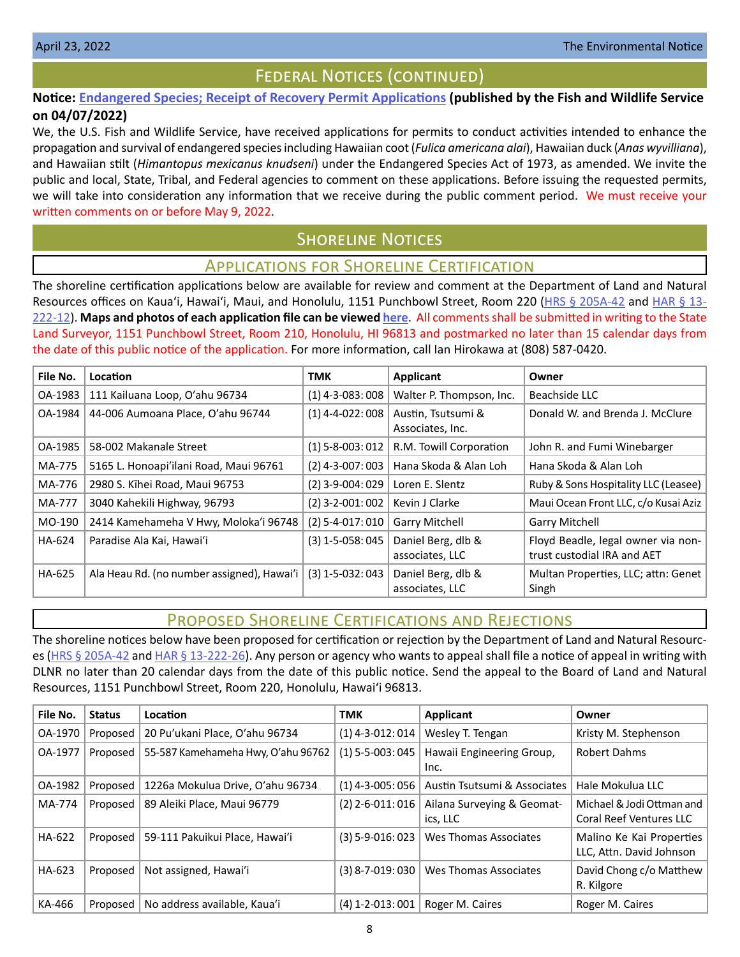# Federal Notices (continued)

# <span id="page-7-0"></span>**Notice: [Endangered Species; Receipt of Recovery Permit Applications](https://www.federalregister.gov/documents/2022/04/07/2022-07366/endangered-species-receipt-of-recovery-permit-applications) (published by the Fish and Wildlife Service on 04/07/2022)**

We, the U.S. Fish and Wildlife Service, have received applications for permits to conduct activities intended to enhance the propagation and survival of endangered species including Hawaiian coot (*Fulica americana alai*), Hawaiian duck (*Anas wyvilliana*), and Hawaiian stilt (*Himantopus mexicanus knudseni*) under the Endangered Species Act of 1973, as amended. We invite the public and local, State, Tribal, and Federal agencies to comment on these applications. Before issuing the requested permits, we will take into consideration any information that we receive during the public comment period. We must receive your written comments on or before May 9, 2022.

# **SHORELINE NOTICES**

# Applications for Shoreline Certification

The shoreline certification applications below are available for review and comment at the Department of Land and Natural Resources offices on Kaua'i, Hawai'i, Maui, and Honolulu, 1151 Punchbowl Street, Room 220 ([HRS § 205A-42](https://www.capitol.hawaii.gov/hrscurrent/Vol04_Ch0201-0257/HRS0205A/HRS_0205A-0042.htm) and [HAR § 13-](https://dlnr.hawaii.gov/ld/files/2013/07/Ch13-222-Amend-Compil-Stand-Rev1.pdf) [222-12](https://dlnr.hawaii.gov/ld/files/2013/07/Ch13-222-Amend-Compil-Stand-Rev1.pdf)). **Maps and photos of each application file can be viewed [here](https://ags.hawaii.gov/survey/shoreline/#apps)**. All comments shall be submitted in writing to the State Land Surveyor, 1151 Punchbowl Street, Room 210, Honolulu, HI 96813 and postmarked no later than 15 calendar days from the date of this public notice of the application. For more information, call Ian Hirokawa at (808) 587-0420.

| File No. | <b>Location</b>                            | TMK                | <b>Applicant</b>                       | Owner                                                             |
|----------|--------------------------------------------|--------------------|----------------------------------------|-------------------------------------------------------------------|
| OA-1983  | 111 Kailuana Loop, O'ahu 96734             | $(1)$ 4-3-083:008  | Walter P. Thompson, Inc.               | Beachside LLC                                                     |
| OA-1984  | 44-006 Aumoana Place, O'ahu 96744          | $(1)$ 4-4-022: 008 | Austin, Tsutsumi &<br>Associates, Inc. | Donald W. and Brenda J. McClure                                   |
| OA-1985  | 58-002 Makanale Street                     | $(1)$ 5-8-003: 012 | R.M. Towill Corporation                | John R. and Fumi Winebarger                                       |
| MA-775   | 5165 L. Honoapi'ilani Road, Maui 96761     | $(2)$ 4-3-007: 003 | Hana Skoda & Alan Loh                  | Hana Skoda & Alan Loh                                             |
| MA-776   | 2980 S. Kīhei Road, Maui 96753             | $(2)$ 3-9-004: 029 | Loren E. Slentz                        | Ruby & Sons Hospitality LLC (Leasee)                              |
| MA-777   | 3040 Kahekili Highway, 96793               | $(2)$ 3-2-001:002  | Kevin J Clarke                         | Maui Ocean Front LLC, c/o Kusai Aziz                              |
| MO-190   | 2414 Kamehameha V Hwy, Moloka'i 96748      | (2) 5-4-017: 010   | <b>Garry Mitchell</b>                  | <b>Garry Mitchell</b>                                             |
| HA-624   | Paradise Ala Kai, Hawai'i                  | $(3)$ 1-5-058: 045 | Daniel Berg, dlb &<br>associates, LLC  | Floyd Beadle, legal owner via non-<br>trust custodial IRA and AET |
| HA-625   | Ala Heau Rd. (no number assigned), Hawai'i | $(3)$ 1-5-032: 043 | Daniel Berg, dlb &<br>associates, LLC  | Multan Properties, LLC; attn: Genet<br>Singh                      |

# Proposed Shoreline Certifications and Rejections

The shoreline notices below have been proposed for certification or rejection by the Department of Land and Natural Resourc-es [\(HRS § 205A-42](http://HRS § 205A-42) and [HAR § 13-222-26\)](https://dlnr.hawaii.gov/ld/files/2013/07/Ch13-222-Amend-Compil-Stand-Rev1.pdf). Any person or agency who wants to appeal shall file a notice of appeal in writing with DLNR no later than 20 calendar days from the date of this public notice. Send the appeal to the Board of Land and Natural Resources, 1151 Punchbowl Street, Room 220, Honolulu, Hawai'i 96813.

| File No. | <b>Status</b> | Location                           | <b>TMK</b>             | <b>Applicant</b>                       | Owner                                                       |
|----------|---------------|------------------------------------|------------------------|----------------------------------------|-------------------------------------------------------------|
| OA-1970  | Proposed      | 20 Pu'ukani Place, O'ahu 96734     | $(1)$ 4-3-012: 014     | Wesley T. Tengan                       | Kristy M. Stephenson                                        |
| OA-1977  | Proposed      | 55-587 Kamehameha Hwy, O'ahu 96762 | $(1)$ 5-5-003: 045     | Hawaii Engineering Group,<br>Inc.      | Robert Dahms                                                |
| OA-1982  | Proposed      | 1226a Mokulua Drive, O'ahu 96734   | $(1)$ 4-3-005: 056     | Austin Tsutsumi & Associates           | Hale Mokulua LLC                                            |
| MA-774   | Proposed      | 89 Aleiki Place, Maui 96779        | $(2)$ 2-6-011:016      | Ailana Surveying & Geomat-<br>ics, LLC | Michael & Jodi Ottman and<br><b>Coral Reef Ventures LLC</b> |
| HA-622   | Proposed      | 59-111 Pakuikui Place, Hawai'i     | $(3) 5 - 9 - 016: 023$ | Wes Thomas Associates                  | Malino Ke Kai Properties<br>LLC, Attn. David Johnson        |
| HA-623   | Proposed      | Not assigned, Hawai'i              | $(3)$ 8-7-019:030      | Wes Thomas Associates                  | David Chong c/o Matthew<br>R. Kilgore                       |
| KA-466   | Proposed      | No address available, Kaua'i       | $(4)$ 1-2-013:001      | Roger M. Caires                        | Roger M. Caires                                             |